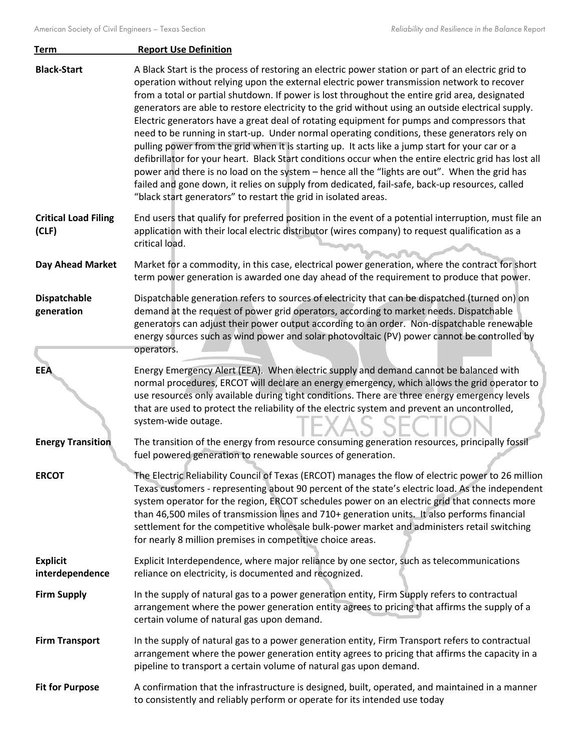| <b>Term</b>                          | <b>Report Use Definition</b>                                                                                                                                                                                                                                                                                                                                                                                                                                                                                                                                                                                                                                                                                                                                                                                                                                                                                                                                                                                                                                                           |
|--------------------------------------|----------------------------------------------------------------------------------------------------------------------------------------------------------------------------------------------------------------------------------------------------------------------------------------------------------------------------------------------------------------------------------------------------------------------------------------------------------------------------------------------------------------------------------------------------------------------------------------------------------------------------------------------------------------------------------------------------------------------------------------------------------------------------------------------------------------------------------------------------------------------------------------------------------------------------------------------------------------------------------------------------------------------------------------------------------------------------------------|
| <b>Black-Start</b>                   | A Black Start is the process of restoring an electric power station or part of an electric grid to<br>operation without relying upon the external electric power transmission network to recover<br>from a total or partial shutdown. If power is lost throughout the entire grid area, designated<br>generators are able to restore electricity to the grid without using an outside electrical supply.<br>Electric generators have a great deal of rotating equipment for pumps and compressors that<br>need to be running in start-up. Under normal operating conditions, these generators rely on<br>pulling power from the grid when it is starting up. It acts like a jump start for your car or a<br>defibrillator for your heart. Black Start conditions occur when the entire electric grid has lost all<br>power and there is no load on the system - hence all the "lights are out". When the grid has<br>failed and gone down, it relies on supply from dedicated, fail-safe, back-up resources, called<br>"black start generators" to restart the grid in isolated areas. |
| <b>Critical Load Filing</b><br>(CLF) | End users that qualify for preferred position in the event of a potential interruption, must file an<br>application with their local electric distributor (wires company) to request qualification as a<br>critical load.                                                                                                                                                                                                                                                                                                                                                                                                                                                                                                                                                                                                                                                                                                                                                                                                                                                              |
| Day Ahead Market                     | Market for a commodity, in this case, electrical power generation, where the contract for short<br>term power generation is awarded one day ahead of the requirement to produce that power.                                                                                                                                                                                                                                                                                                                                                                                                                                                                                                                                                                                                                                                                                                                                                                                                                                                                                            |
| <b>Dispatchable</b><br>generation    | Dispatchable generation refers to sources of electricity that can be dispatched (turned on) on<br>demand at the request of power grid operators, according to market needs. Dispatchable<br>generators can adjust their power output according to an order. Non-dispatchable renewable<br>energy sources such as wind power and solar photovoltaic (PV) power cannot be controlled by<br>operators.                                                                                                                                                                                                                                                                                                                                                                                                                                                                                                                                                                                                                                                                                    |
| <b>EEA</b>                           | Energy Emergency Alert (EEA). When electric supply and demand cannot be balanced with<br>normal procedures, ERCOT will declare an energy emergency, which allows the grid operator to<br>use resources only available during tight conditions. There are three energy emergency levels<br>that are used to protect the reliability of the electric system and prevent an uncontrolled,<br>system-wide outage.                                                                                                                                                                                                                                                                                                                                                                                                                                                                                                                                                                                                                                                                          |
| <b>Energy Transition</b>             | The transition of the energy from resource consuming generation resources, principally fossil<br>fuel powered generation to renewable sources of generation.                                                                                                                                                                                                                                                                                                                                                                                                                                                                                                                                                                                                                                                                                                                                                                                                                                                                                                                           |
| <b>ERCOT</b>                         | The Electric Reliability Council of Texas (ERCOT) manages the flow of electric power to 26 million<br>Texas customers - representing about 90 percent of the state's electric load. As the independent<br>system operator for the region, ERCOT schedules power on an electric grid that connects more<br>than 46,500 miles of transmission lines and 710+ generation units. It also performs financial<br>settlement for the competitive wholesale bulk-power market and administers retail switching<br>for nearly 8 million premises in competitive choice areas.                                                                                                                                                                                                                                                                                                                                                                                                                                                                                                                   |
| <b>Explicit</b><br>interdependence   | Explicit Interdependence, where major reliance by one sector, such as telecommunications<br>reliance on electricity, is documented and recognized.                                                                                                                                                                                                                                                                                                                                                                                                                                                                                                                                                                                                                                                                                                                                                                                                                                                                                                                                     |
| <b>Firm Supply</b>                   | In the supply of natural gas to a power generation entity, Firm Supply refers to contractual<br>arrangement where the power generation entity agrees to pricing that affirms the supply of a<br>certain volume of natural gas upon demand.                                                                                                                                                                                                                                                                                                                                                                                                                                                                                                                                                                                                                                                                                                                                                                                                                                             |
| <b>Firm Transport</b>                | In the supply of natural gas to a power generation entity, Firm Transport refers to contractual<br>arrangement where the power generation entity agrees to pricing that affirms the capacity in a<br>pipeline to transport a certain volume of natural gas upon demand.                                                                                                                                                                                                                                                                                                                                                                                                                                                                                                                                                                                                                                                                                                                                                                                                                |
| <b>Fit for Purpose</b>               | A confirmation that the infrastructure is designed, built, operated, and maintained in a manner<br>to consistently and reliably perform or operate for its intended use today                                                                                                                                                                                                                                                                                                                                                                                                                                                                                                                                                                                                                                                                                                                                                                                                                                                                                                          |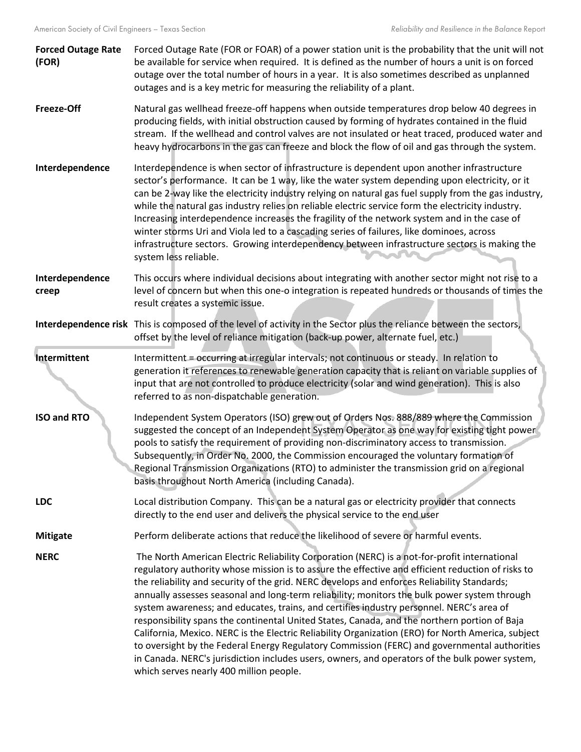| <b>Forced Outage Rate</b><br>(FOR) | Forced Outage Rate (FOR or FOAR) of a power station unit is the probability that the unit will not<br>be available for service when required. It is defined as the number of hours a unit is on forced<br>outage over the total number of hours in a year. It is also sometimes described as unplanned<br>outages and is a key metric for measuring the reliability of a plant.                                                                                                                                                                                                                                                                                                                                                                                                                                                                                                                                                                 |
|------------------------------------|-------------------------------------------------------------------------------------------------------------------------------------------------------------------------------------------------------------------------------------------------------------------------------------------------------------------------------------------------------------------------------------------------------------------------------------------------------------------------------------------------------------------------------------------------------------------------------------------------------------------------------------------------------------------------------------------------------------------------------------------------------------------------------------------------------------------------------------------------------------------------------------------------------------------------------------------------|
| <b>Freeze-Off</b>                  | Natural gas wellhead freeze-off happens when outside temperatures drop below 40 degrees in<br>producing fields, with initial obstruction caused by forming of hydrates contained in the fluid<br>stream. If the wellhead and control valves are not insulated or heat traced, produced water and<br>heavy hydrocarbons in the gas can freeze and block the flow of oil and gas through the system.                                                                                                                                                                                                                                                                                                                                                                                                                                                                                                                                              |
| Interdependence                    | Interdependence is when sector of infrastructure is dependent upon another infrastructure<br>sector's performance. It can be 1 way, like the water system depending upon electricity, or it<br>can be 2-way like the electricity industry relying on natural gas fuel supply from the gas industry,<br>while the natural gas industry relies on reliable electric service form the electricity industry.<br>Increasing interdependence increases the fragility of the network system and in the case of<br>winter storms Uri and Viola led to a cascading series of failures, like dominoes, across<br>infrastructure sectors. Growing interdependency between infrastructure sectors is making the<br>system less reliable.                                                                                                                                                                                                                    |
| Interdependence<br>creep           | This occurs where individual decisions about integrating with another sector might not rise to a<br>level of concern but when this one-o integration is repeated hundreds or thousands of times the<br>result creates a systemic issue.                                                                                                                                                                                                                                                                                                                                                                                                                                                                                                                                                                                                                                                                                                         |
|                                    | Interdependence risk This is composed of the level of activity in the Sector plus the reliance between the sectors,<br>offset by the level of reliance mitigation (back-up power, alternate fuel, etc.)                                                                                                                                                                                                                                                                                                                                                                                                                                                                                                                                                                                                                                                                                                                                         |
| Intermittent                       | Intermittent = occurring at irregular intervals; not continuous or steady. In relation to<br>generation it references to renewable generation capacity that is reliant on variable supplies of<br>input that are not controlled to produce electricity (solar and wind generation). This is also<br>referred to as non-dispatchable generation.                                                                                                                                                                                                                                                                                                                                                                                                                                                                                                                                                                                                 |
| <b>ISO and RTO</b>                 | Independent System Operators (ISO) grew out of Orders Nos. 888/889 where the Commission<br>suggested the concept of an Independent System Operator as one way for existing tight power<br>pools to satisfy the requirement of providing non-discriminatory access to transmission.<br>Subsequently, in Order No. 2000, the Commission encouraged the voluntary formation of<br>Regional Transmission Organizations (RTO) to administer the transmission grid on a regional<br>basis throughout North America (including Canada).                                                                                                                                                                                                                                                                                                                                                                                                                |
| <b>LDC</b>                         | Local distribution Company. This can be a natural gas or electricity provider that connects<br>directly to the end user and delivers the physical service to the end user                                                                                                                                                                                                                                                                                                                                                                                                                                                                                                                                                                                                                                                                                                                                                                       |
| <b>Mitigate</b>                    | Perform deliberate actions that reduce the likelihood of severe or harmful events.                                                                                                                                                                                                                                                                                                                                                                                                                                                                                                                                                                                                                                                                                                                                                                                                                                                              |
| <b>NERC</b>                        | The North American Electric Reliability Corporation (NERC) is a not-for-profit international<br>regulatory authority whose mission is to assure the effective and efficient reduction of risks to<br>the reliability and security of the grid. NERC develops and enforces Reliability Standards;<br>annually assesses seasonal and long-term reliability; monitors the bulk power system through<br>system awareness; and educates, trains, and certifies industry personnel. NERC's area of<br>responsibility spans the continental United States, Canada, and the northern portion of Baja<br>California, Mexico. NERC is the Electric Reliability Organization (ERO) for North America, subject<br>to oversight by the Federal Energy Regulatory Commission (FERC) and governmental authorities<br>in Canada. NERC's jurisdiction includes users, owners, and operators of the bulk power system,<br>which serves nearly 400 million people. |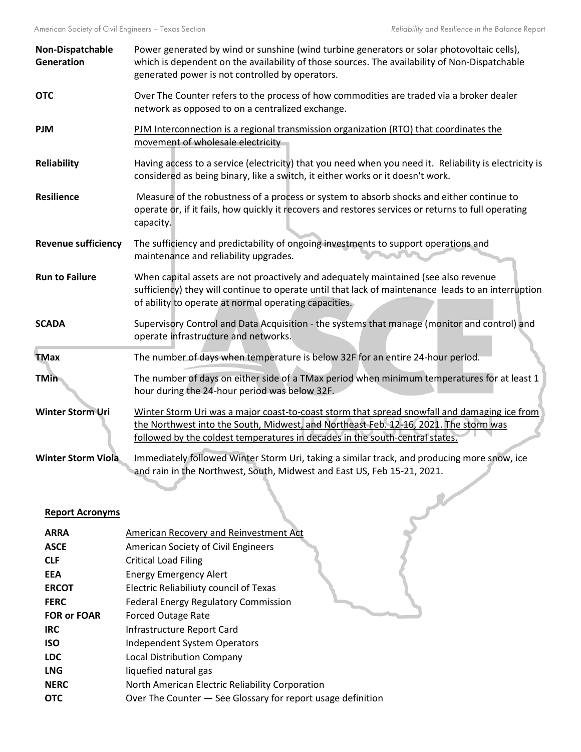| Non-Dispatchable<br>Generation | Power generated by wind or sunshine (wind turbine generators or solar photovoltaic cells),<br>which is dependent on the availability of those sources. The availability of Non-Dispatchable<br>generated power is not controlled by operators.                       |
|--------------------------------|----------------------------------------------------------------------------------------------------------------------------------------------------------------------------------------------------------------------------------------------------------------------|
| <b>OTC</b>                     | Over The Counter refers to the process of how commodities are traded via a broker dealer<br>network as opposed to on a centralized exchange.                                                                                                                         |
| <b>PJM</b>                     | PJM Interconnection is a regional transmission organization (RTO) that coordinates the<br>movement of wholesale electricity                                                                                                                                          |
| Reliability                    | Having access to a service (electricity) that you need when you need it. Reliability is electricity is<br>considered as being binary, like a switch, it either works or it doesn't work.                                                                             |
| <b>Resilience</b>              | Measure of the robustness of a process or system to absorb shocks and either continue to<br>operate or, if it fails, how quickly it recovers and restores services or returns to full operating<br>capacity.                                                         |
| <b>Revenue sufficiency</b>     | The sufficiency and predictability of ongoing investments to support operations and<br>maintenance and reliability upgrades.                                                                                                                                         |
| <b>Run to Failure</b>          | When capital assets are not proactively and adequately maintained (see also revenue<br>sufficiency) they will continue to operate until that lack of maintenance leads to an interruption<br>of ability to operate at normal operating capacities.                   |
| <b>SCADA</b>                   | Supervisory Control and Data Acquisition - the systems that manage (monitor and control) and<br>operate infrastructure and networks.                                                                                                                                 |
| <b>TMax</b>                    | The number of days when temperature is below 32F for an entire 24-hour period.                                                                                                                                                                                       |
| <b>TMin</b>                    | The number of days on either side of a TMax period when minimum temperatures for at least 1<br>hour during the 24-hour period was below 32F.                                                                                                                         |
| <b>Winter Storm Uri</b>        | Winter Storm Uri was a major coast-to-coast storm that spread snowfall and damaging ice from<br>the Northwest into the South, Midwest, and Northeast Feb. 12-16, 2021. The storm was<br>followed by the coldest temperatures in decades in the south-central states. |
| <b>Winter Storm Viola</b>      | Immediately followed Winter Storm Uri, taking a similar track, and producing more snow, ice<br>and rain in the Northwest, South, Midwest and East US, Feb 15-21, 2021.                                                                                               |
| <b>Report Acronyms</b>         |                                                                                                                                                                                                                                                                      |

## **Report Acronyms**

| <b>ARRA</b>        | American Recovery and Reinvestment Act                      |
|--------------------|-------------------------------------------------------------|
| <b>ASCE</b>        | American Society of Civil Engineers                         |
| <b>CLF</b>         | <b>Critical Load Filing</b>                                 |
| <b>EEA</b>         | <b>Energy Emergency Alert</b>                               |
| <b>ERCOT</b>       | Electric Reliabiliuty council of Texas                      |
| <b>FERC</b>        | <b>Federal Energy Regulatory Commission</b>                 |
| <b>FOR or FOAR</b> | <b>Forced Outage Rate</b>                                   |
| <b>IRC</b>         | Infrastructure Report Card                                  |
| <b>ISO</b>         | <b>Independent System Operators</b>                         |
| <b>LDC</b>         | <b>Local Distribution Company</b>                           |
| <b>LNG</b>         | liquefied natural gas                                       |
| <b>NERC</b>        | North American Electric Reliability Corporation             |
| <b>OTC</b>         | Over The Counter - See Glossary for report usage definition |